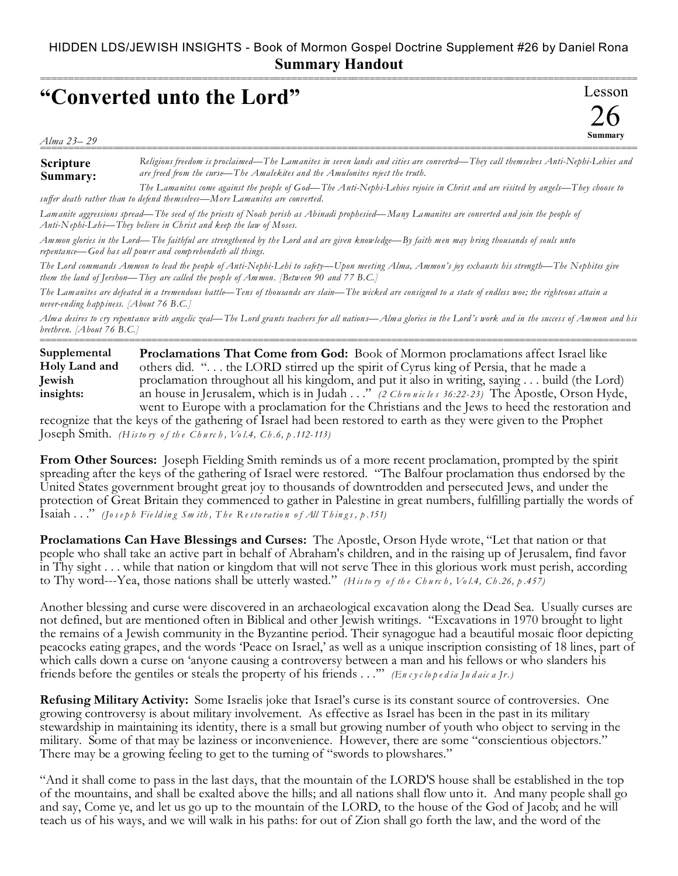## **"Converted unto the Lord"**

Lesson 26 **Summary** ===========================================================================================================

*Alma 23– 29* ===========================================================================================================

**Scripture Summary:** *Religious freedom is proclaimed—The Lamanites in seven lands and cities are converted—They call themselves Anti-Nephi-Lehies and are freed from the curse—The Amalekites and the Amulonites reject the truth. The Lamanites come against the people of God—The Anti-Neph i-Lehies rejoice in Christ and are visited by angels—They choose to*

*suffer death rather than to defend themselves—More Lamanites are converted.*

*Lamanite aggressions spread—The seed of the priests of Noah perish as Abinadi prophesied—Many Lamanites are converted and join the people of Anti-Nephi-Lehi—They believe in Christ and keep the law of Moses.*

*Ammon glories in the Lord—The faithful are strengthened by the Lord and are given knowledge—By faith men may bring thousands of souls unto repentance—God has all power and comprehendeth all things.* 

*The Lord commands Ammon to lead the people of Anti-Nephi-Lehi to safety—Upon meeting Alma, Ammon's joy exhausts his strength—The Nephites give them the land of Jershon—They are called the people of Ammon. [Between 90 and 77 B.C.]*

*The Lamanites are defeated in a tremendous battle—Tens of thousands are slain—The wicked are consigned to a state of endless woe; the righteous attain a never-ending happiness. [About 76 B.C.]*

*Alma desires to cry repentance with angelic zeal—The Lord grants teachers for all nations—Alma glories in the Lord's work and in the success of Ammon and his brethren. [About 76 B.C.]* ===========================================================================================================

**Proclamations That Come from God:** Book of Mormon proclamations affect Israel like others did. ". . . the LORD stirred up the spirit of Cyrus king of Persia, that he made a proclamation throughout all his kingdom, and put it also in writing, saying . . . build (the Lord) an house in Jerusalem, which is in Judah . . ." *(2 Ch ro n ic le s 36:22- 23)* The Apostle, Orson Hyde, went to Europe with a proclamation for the Christians and the Jews to heed the restoration and **Supplemental Holy Land and Jewish insights:**

recognize that the keys of the gathering of Israel had been restored to earth as they were given to the Prophet Joseph Smith. *(H is to ry o f th e Ch u rc h , Vo l.4, Ch .6, p .112-113)*

**From Other Sources:** Joseph Fielding Smith reminds us of a more recent proclamation, prompted by the spirit spreading after the keys of the gathering of Israel were restored. "The Balfour proclamation thus endorsed by the United States government brought great joy to thousands of downtrodden and persecuted Jews, and under the protection of Great Britain they commenced to gather in Palestine in great numbers, fulfilling partially the words of Isaiah . . ." *(Joseph Fie ld ing Sm ith , Th e Resto ra tion of All Th ings, p.151)*

**Proclamations Can Have Blessings and Curses:** The Apostle, Orson Hyde wrote, "Let that nation or that people who shall take an active part in behalf of Abraham's children, and in the raising up of Jerusalem, find favor in Thy sight . . . while that nation or kingdom that will not serve Thee in this glorious work must perish, according to Thy word---Yea, those nations shall be utterly wasted." *(H is to ry o f th e Ch u rc h , Vo l.4, Ch .26, p .457)*

Another blessing and curse were discovered in an archaeological excavation along the Dead Sea. Usually curses are not defined, but are mentioned often in Biblical and other Jewish writings. "Excavations in 1970 brought to light the remains of a Jewish community in the Byzantine period. Their synagogue had a beautiful mosaic floor depicting peacocks eating grapes, and the words 'Peace on Israel,' as well as a unique inscription consisting of 18 lines, part of which calls down a curse on 'anyone causing a controversy between a man and his fellows or who slanders his friends before the gentiles or steals the property of his friends . . .'" *(En c y c lo p e d ia Ju d aic a Jr.)*

**Refusing Military Activity:** Some Israelis joke that Israel's curse is its constant source of controversies. One growing controversy is about military involvement. As effective as Israel has been in the past in its military stewardship in maintaining its identity, there is a small but growing number of youth who object to serving in the military. Some of that may be laziness or inconvenience. However, there are some "conscientious objectors." There may be a growing feeling to get to the turning of "swords to plowshares."

"And it shall come to pass in the last days, that the mountain of the LORD'S house shall be established in the top of the mountains, and shall be exalted above the hills; and all nations shall flow unto it. And many people shall go and say, Come ye, and let us go up to the mountain of the LORD, to the house of the God of Jacob; and he will teach us of his ways, and we will walk in his paths: for out of Zion shall go forth the law, and the word of the